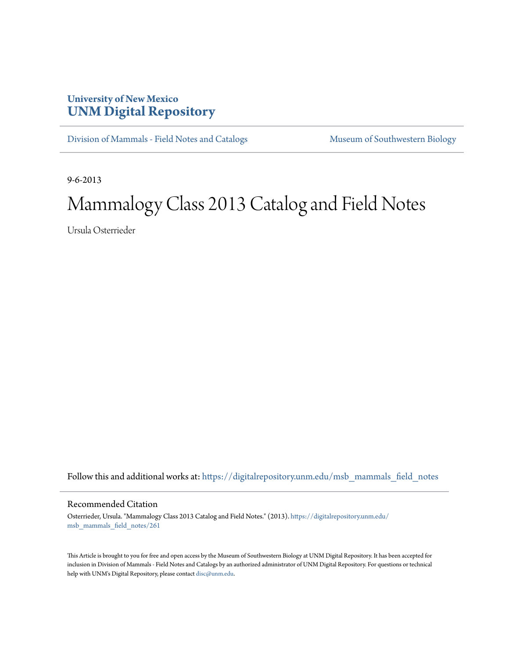## **University of New Mexico [UNM Digital Repository](https://digitalrepository.unm.edu?utm_source=digitalrepository.unm.edu%2Fmsb_mammals_field_notes%2F261&utm_medium=PDF&utm_campaign=PDFCoverPages)**

[Division of Mammals - Field Notes and Catalogs](https://digitalrepository.unm.edu/msb_mammals_field_notes?utm_source=digitalrepository.unm.edu%2Fmsb_mammals_field_notes%2F261&utm_medium=PDF&utm_campaign=PDFCoverPages) [Museum of Southwestern Biology](https://digitalrepository.unm.edu/msb?utm_source=digitalrepository.unm.edu%2Fmsb_mammals_field_notes%2F261&utm_medium=PDF&utm_campaign=PDFCoverPages)

9-6-2013

## Mammalogy Class 2013 Catalog and Field Notes

Ursula Osterrieder

Follow this and additional works at: [https://digitalrepository.unm.edu/msb\\_mammals\\_field\\_notes](https://digitalrepository.unm.edu/msb_mammals_field_notes?utm_source=digitalrepository.unm.edu%2Fmsb_mammals_field_notes%2F261&utm_medium=PDF&utm_campaign=PDFCoverPages)

## Recommended Citation

Osterrieder, Ursula. "Mammalogy Class 2013 Catalog and Field Notes." (2013). [https://digitalrepository.unm.edu/](https://digitalrepository.unm.edu/msb_mammals_field_notes/261?utm_source=digitalrepository.unm.edu%2Fmsb_mammals_field_notes%2F261&utm_medium=PDF&utm_campaign=PDFCoverPages) [msb\\_mammals\\_field\\_notes/261](https://digitalrepository.unm.edu/msb_mammals_field_notes/261?utm_source=digitalrepository.unm.edu%2Fmsb_mammals_field_notes%2F261&utm_medium=PDF&utm_campaign=PDFCoverPages)

This Article is brought to you for free and open access by the Museum of Southwestern Biology at UNM Digital Repository. It has been accepted for inclusion in Division of Mammals - Field Notes and Catalogs by an authorized administrator of UNM Digital Repository. For questions or technical help with UNM's Digital Repository, please contact [disc@unm.edu](mailto:disc@unm.edu).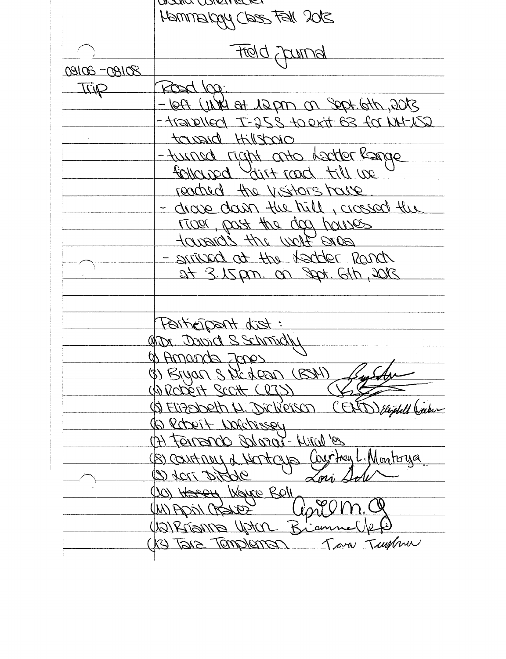WIND WHITER SOR IF EED Upperment French blott  $20190 - 30100$ Road log. Trip 2000, dtd. tgd. no angst to WWW tool-- transplied T-25 & to exit 63 for NH-152 taxard Hillshoro -turned right anto leader Range follared dirt rood till we reached the visitors have - drave dann the hill, crossed the river, past the day houses pare flow utt emerge arrived at the teacher Ranch 21 3.15 pm. on Sept. Gth, 2013 Faitigipant dist: Wor David S Schmidly a Amanda Zanes (8) Bryan S NG Lean (BSM) WRODELT SCOTT CRZS (5) Eizebeth N. Dickerson (END) Elighthe Justice Gebert Notchissey (A) Ferrence Scharar-Miral 100 Courtney L. Montoua (B) courtness of Montages 'mi Orpus more 10) Hassey Kayce Bell UNIPOIN CREATER Warrianna Worch Riam (13) Take Templeman Tara Tummu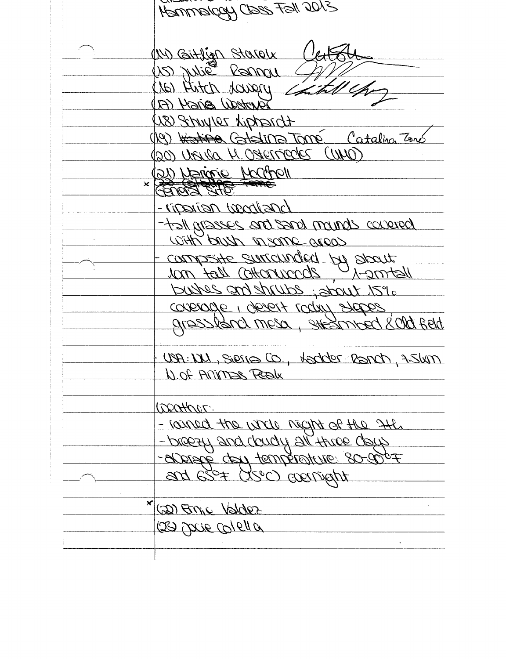Hammalgay Class Fall 2013 (IV) GITLIGA STOROLK  $4544$ US Julie Panou (16) Hitch dangry Tandeau egincy (FI) Horendry convict (81) (19) Hating Catalina Tomé Catalina Zons (2011) 2007/1920 N DUNO) (21) Narione Marchell  $\overline{\mathbf{x}}$ GOOS STO. -riponion woodland bancos channa bace bas essered let-With brush neare greas courserte soucongéel pt sparr U A-2mtall <u>elsonnomo llot mor</u> purpes and the loss is select consorte i gerst cogni stobez gressland mesa, steamped 8010 feld USA: W, Sierra Co., Hadder Ranch, 75km N of Animas Realx 1200H005: - louned the whole neght of the 3H. - breezy and doubly all three deck -sporté ant fautaurir 80-000+ and 630+ (XSOC) aperight (20) Enje Valdez 129 pour Colella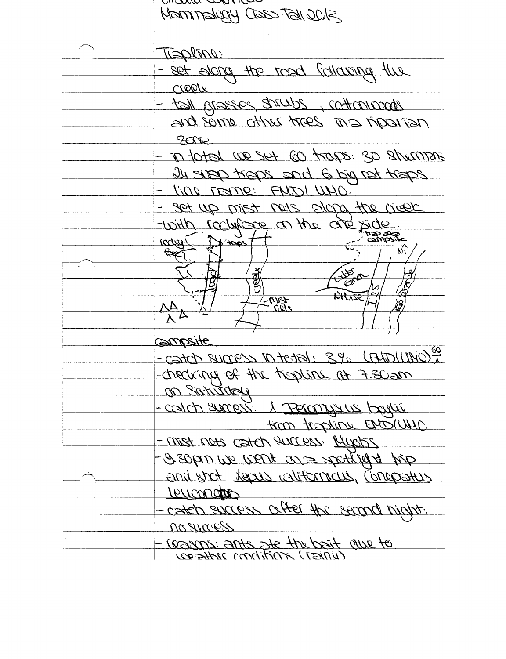mama wanive Mammakeey Class Fall 2012 TEPline: - set storia the rosal following the rreply tall praces strubs, cottonizeds nerrout on east with any bre  $200$ <u>sismunde os sent co traps. So shumment ni -</u> east tap bid 6 big me 1987 pare UL - l'ine pome: ENDI UNO. set up mist nots along the creek with rockfree on the one side **MED Jeep**  $2 + 128$ TCC/ATT+ **Exp.**  $\overline{\mathcal{N}}$  $\frac{3}{2}$ **JARKET** Ġ. **NH 155**  $2001$  $\Delta \Delta$  $\overline{\mathbb{A}}^{\mathbb{A}}$ <u> Gmasite</u> - catch success in tetal : 3% (FUDIUNO) " measing of the trading at 7.80 am on Saturday - catch surress. A Percony sur boylin AWIOMA unitest mont - mist nots catch success. Muchin gid britist so her wou as and shot <u>theous ralitions currentestus</u> Leucondo - catch success ciffer the second night. noguacos - reagns: ants art the bait due to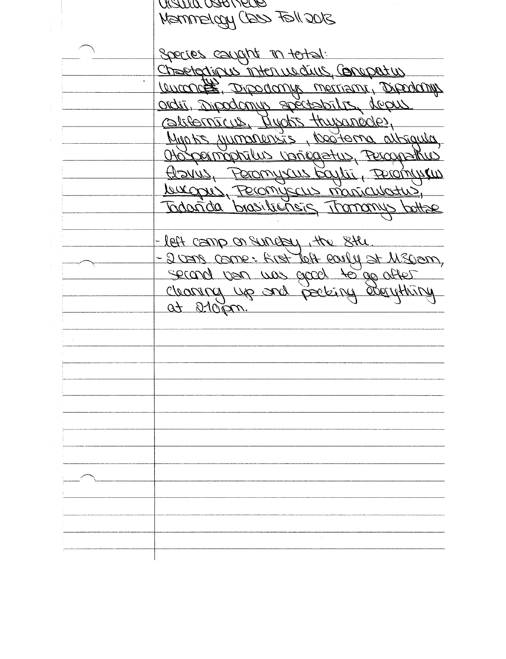SUG NET CES JUDSEMMEN Species caught in total. Chaetogripus interruedus, Compatin Lucarde Dipodany spectability deputany consternieus, Rudis Hupunedes, Munts jumments, l'obterne altraule Obspermantus vongatus, Percepetus Azvis, Peromyrus Egylū, Peromyrius <u>burgui, Feronyscus monticulatus,</u> Todanida brasiliensis Tromanys botter - left camp on survey, the still -2000 come: Arst Jost confu et M300m, of stops.

CILLO OSTO VELLO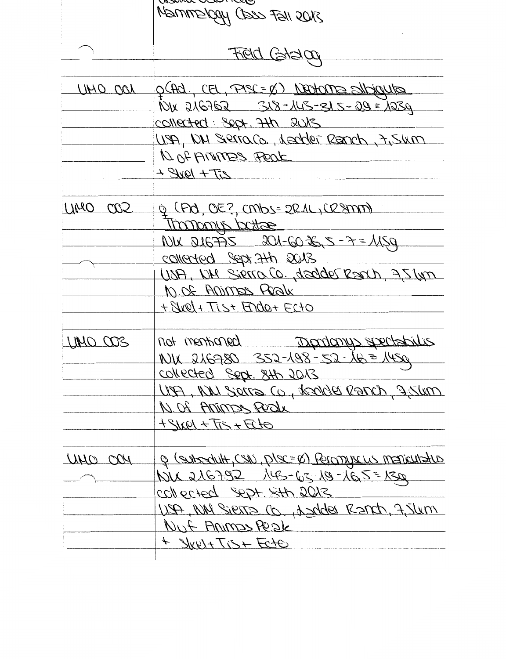|         | $\sim$<br>SNOS IFST COOD YOU CONTROL                           |
|---------|----------------------------------------------------------------|
|         |                                                                |
|         | Field Goldco                                                   |
|         |                                                                |
| UMO OOL | <u>p(Ad, CEL, PASC= &amp;) Neotome silbigute</u>               |
|         | <u> 1018 216762 - 318 - 145 - 315 - 29 = 1239</u>              |
|         | COLLECTED : Sept. 7th suis                                     |
|         | USA, ION SIRITOLO, desider Reanch, 7,5km                       |
|         | N. Of AMMES Peak                                               |
|         | $277 + 1948 +$                                                 |
|         |                                                                |
| UMO CO2 | Q (PO, OE?, CMbs= 2R1L, CR9MM)                                 |
|         | Thomony bottae                                                 |
|         | NU DIGPAS 201-6026,5-7=1159                                    |
|         | collected Sept 7th 2013                                        |
|         | USA, UN Sierra Co., dealder Reach, 75 Um                       |
|         | 10.08 Animas Realx                                             |
|         | + SWel + Tist Ende + Ecto                                      |
| UNO OOS | Dipriming spectability<br>not mentioned                        |
|         | $101x$ 216780 352-198-52-16=1450                               |
|         | <u>Collected</u> Sept. 8th 2013                                |
|         | UP NU Sorra Co, todde Ranch, 7,54m                             |
|         | N. Of Artimes Peak                                             |
|         | OLD+CT+19NP+                                                   |
| MAO OGH | <u> e (subsoluit, CSIN, plsc=&amp;) Peronyvous mariouhstus</u> |
|         | NU 216792 145-63-19-165=130                                    |
|         | collected Sept. Sth 2013                                       |
|         | USA, NN Sierra Co., Azides Ranch, 7, Jum                       |
|         | Nut Animas Reale                                               |
|         | + SWeltTist Ecto                                               |
|         |                                                                |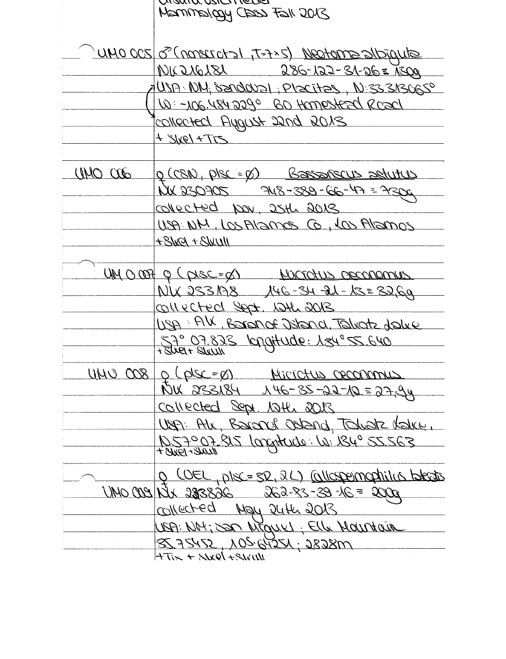הושמונג נגזרה וופטפו SIOS ILET LEED YOOIGMMAN UMO OCS 0 (nonsictal (2xf=T, 1<ton) & 200 OMU NIC 216181 286-122-31-26 = 1300 USA NU; SENDOUDI; PLECITES, N: 33 SISUESO W-106.4842290 BO Hamesteed Road COLLECTED FLUGHER 2019 BOXS  $+31xe1+775$ UNO OD <u>g (CSN), plsc = ø) - Bassañscus astutus -</u> NX 230705 748-389-66-47 = 7300 collected Nov, 25th 2013 USA NM, LOS Alamos Co, LOS Alamos  $+8$ Wel + SWUII UM 0 007 Q (pisc=d) Microtus opennances NUX 233198 146-34-21-13=3269 COLLECTED Sept. 1246 2013 USA: AV, Boron of Dstand, Talvatz dalve 57° 07.823 knottude: 134°55.640 UNU 008 0 (dsc=0) Microtus ceconomus NETS = 01-6-25-21-10 PBIESS NCT Collected Sept. 12th 2013 USA: Alx, Barand Ostand, Takatz Kalke, 1057007.815 /orgitude: W: 1840 55.563 <u>O COEL, DISC=SR, 2L) Collespermagnitus blectos</u> UNO COLO 124 - 25-53-53 - 262-85 - 2000 UNIV Ollected May 24th 2013 USA: NOt; SOM MEQUEL; Elle MOUNTOUR 85,75452, 105,64251; 2828m  $+755 + 1244 + 125$